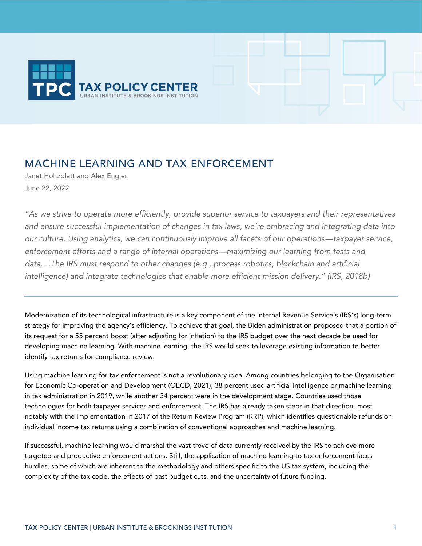

# MACHINE LEARNING AND TAX ENFORCEMENT

Janet Holtzblatt and Alex Engler June 22, 2022

*"As we strive to operate more efficiently, provide superior service to taxpayers and their representatives and ensure successful implementation of changes in tax laws, we're embracing and integrating data into our culture. Using analytics, we can continuously improve all facets of our operations—taxpayer service, enforcement efforts and a range of internal operations—maximizing our learning from tests and*  data....The IRS must respond to other changes (e.g., process robotics, blockchain and artificial *intelligence) and integrate technologies that enable more efficient mission delivery." (IRS, 2018b)*

Modernization of its technological infrastructure is a key component of the Internal Revenue Service's (IRS's) long-term strategy for improving the agency's efficiency. To achieve that goal, the Biden administration proposed that a portion of its request for a 55 percent boost (after adjusting for inflation) to the IRS budget over the next decade be used for developing machine learning. With machine learning, the IRS would seek to leverage existing information to better identify tax returns for compliance review.

Using machine learning for tax enforcement is not a revolutionary idea. Among countries belonging to the Organisation for Economic Co-operation and Development (OECD, 2021), 38 percent used artificial intelligence or machine learning in tax administration in 2019, while another 34 percent were in the development stage. Countries used those technologies for both taxpayer services and enforcement. The IRS has already taken steps in that direction, most notably with the implementation in 2017 of the Return Review Program (RRP), which identifies questionable refunds on individual income tax returns using a combination of conventional approaches and machine learning.

If successful, machine learning would marshal the vast trove of data currently received by the IRS to achieve more targeted and productive enforcement actions. Still, the application of machine learning to tax enforcement faces hurdles, some of which are inherent to the methodology and others specific to the US tax system, including the complexity of the tax code, the effects of past budget cuts, and the uncertainty of future funding.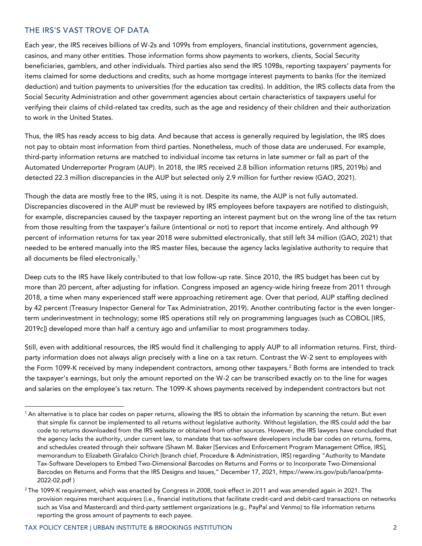# THE IRS'S VAST TROVE OF DATA

Each year, the IRS receives billions of W-2s and 1099s from employers, financial institutions, government agencies, casinos, and many other entities. Those information forms show payments to workers, clients, Social Security beneficiaries, gamblers, and other individuals. Third parties also send the IRS 1098s, reporting taxpayers' payments for items claimed for some deductions and credits, such as home mortgage interest payments to banks (for the itemized deduction) and tuition payments to universities (for the education tax credits). In addition, the IRS collects data from the Social Security Administration and other government agencies about certain characteristics of taxpayers useful for verifying their claims of child-related tax credits, such as the age and residency of their children and their authorization to work in the United States.

Thus, the IRS has ready access to big data. And because that access is generally required by legislation, the IRS does not pay to obtain most information from third parties. Nonetheless, much of those data are underused. For example, third-party information returns are matched to individual income tax returns in late summer or fall as part of the Automated Underreporter Program (AUP). In 2018, the IRS received 2.8 billion information returns (IRS, 2019b) and detected 22.3 million discrepancies in the AUP but selected only 2.9 million for further review (GAO, 2021).

Though the data are mostly free to the IRS, using it is not. Despite its name, the AUP is not fully automated. Discrepancies discovered in the AUP must be reviewed by IRS employees before taxpayers are notified to distinguish, for example, discrepancies caused by the taxpayer reporting an interest payment but on the wrong line of the tax return from those resulting from the taxpayer's failure (intentional or not) to report that income entirely. And although 99 percent of information returns for tax year 2018 were submitted electronically, that still left 34 million (GAO, 2021) that needed to be entered manually into the IRS master files, because the agency lacks legislative authority to require that all documents be filed electronically.<sup>1</sup>

Deep cuts to the IRS have likely contributed to that low follow-up rate. Since 2010, the IRS budget has been cut by more than 20 percent, after adjusting for inflation. Congress imposed an agency-wide hiring freeze from 2011 through 2018, a time when many experienced staff were approaching retirement age. Over that period, AUP staffing declined by 42 percent (Treasury Inspector General for Tax Administration, 2019). Another contributing factor is the even longerterm underinvestment in technology; some IRS operations still rely on programming languages (such as COBOL [IRS, 2019c]) developed more than half a century ago and unfamiliar to most programmers today.

Still, even with additional resources, the IRS would find it challenging to apply AUP to all information returns. First, thirdparty information does not always align precisely with a line on a tax return. Contrast the W-2 sent to employees with the Form 1099-K received by many independent contractors, among other taxpayers.<sup>2</sup> Both forms are intended to track the taxpayer's earnings, but only the amount reported on the W-2 can be transcribed exactly on to the line for wages and salaries on the employee's tax return. The 1099-K shows payments received by independent contractors but not

<sup>&</sup>lt;sup>1</sup> An alternative is to place bar codes on paper returns, allowing the IRS to obtain the information by scanning the return. But even that simple fix cannot be implemented to all returns without legislative authority. Without legislation, the IRS could add the bar code to returns downloaded from the IRS website or obtained from other sources. However, the IRS lawyers have concluded that the agency lacks the authority, under current law, to mandate that tax-software developers include bar codes on returns, forms, and schedules created through their software (Shawn M. Baker [Services and Enforcement Program Management Office, IRS], memorandum to Elizabeth Girafalco Chirich [branch chief, Procedure & Administration, IRS] regarding "Authority to Mandate Tax-Software Developers to Embed Two-Dimensional Barcodes on Returns and Forms or to Incorporate Two-Dimensional Barcodes on Returns and Forms that the IRS Designs and Issues," December 17, 2021, [https://www.irs.gov/pub/lanoa/pmta-](https://www.irs.gov/pub/lanoa/pmta-2022-02.pdf)[2022-02.pdf](https://www.irs.gov/pub/lanoa/pmta-2022-02.pdf) )

<sup>&</sup>lt;sup>2</sup> The 1099-K requirement, which was enacted by Congress in 2008, took effect in 2011 and was amended again in 2021. The provision requires merchant acquirers (i.e., financial institutions that facilitate credit-card and debit-card transactions on networks such as Visa and Mastercard) and third-party settlement organizations (e.g., PayPal and Venmo) to file information returns reporting the gross amount of payments to each payee.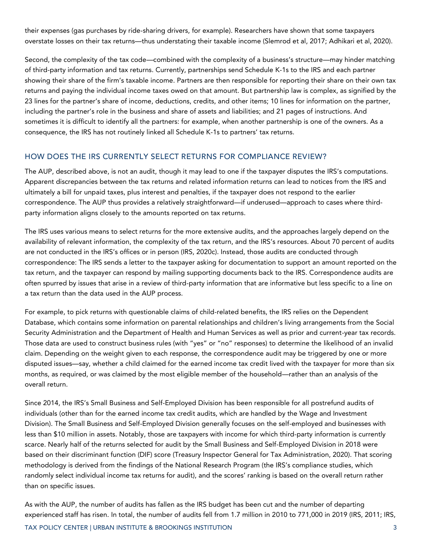their expenses (gas purchases by ride-sharing drivers, for example). Researchers have shown that some taxpayers overstate losses on their tax returns—thus understating their taxable income (Slemrod et al, 2017; Adhikari et al, 2020).

Second, the complexity of the tax code—combined with the complexity of a business's structure—may hinder matching of third-party information and tax returns. Currently, partnerships send Schedule K-1s to the IRS and each partner showing their share of the firm's taxable income. Partners are then responsible for reporting their share on their own tax returns and paying the individual income taxes owed on that amount. But partnership law is complex, as signified by the 23 lines for the partner's share of income, deductions, credits, and other items; 10 lines for information on the partner, including the partner's role in the business and share of assets and liabilities; and 21 pages of instructions. And sometimes it is difficult to identify all the partners: for example, when another partnership is one of the owners. As a consequence, the IRS has not routinely linked all Schedule K-1s to partners' tax returns.

#### HOW DOES THE IRS CURRENTLY SELECT RETURNS FOR COMPLIANCE REVIEW?

The AUP, described above, is not an audit, though it may lead to one if the taxpayer disputes the IRS's computations. Apparent discrepancies between the tax returns and related information returns can lead to notices from the IRS and ultimately a bill for unpaid taxes, plus interest and penalties, if the taxpayer does not respond to the earlier correspondence. The AUP thus provides a relatively straightforward—if underused—approach to cases where thirdparty information aligns closely to the amounts reported on tax returns.

The IRS uses various means to select returns for the more extensive audits, and the approaches largely depend on the availability of relevant information, the complexity of the tax return, and the IRS's resources. About 70 percent of audits are not conducted in the IRS's offices or in person (IRS, 2020c). Instead, those audits are conducted through correspondence: The IRS sends a letter to the taxpayer asking for documentation to support an amount reported on the tax return, and the taxpayer can respond by mailing supporting documents back to the IRS. Correspondence audits are often spurred by issues that arise in a review of third-party information that are informative but less specific to a line on a tax return than the data used in the AUP process.

For example, to pick returns with questionable claims of child-related benefits, the IRS relies on the Dependent Database, which contains some information on parental relationships and children's living arrangements from the Social Security Administration and the Department of Health and Human Services as well as prior and current-year tax records. Those data are used to construct business rules (with "yes" or "no" responses) to determine the likelihood of an invalid claim. Depending on the weight given to each response, the correspondence audit may be triggered by one or more disputed issues—say, whether a child claimed for the earned income tax credit lived with the taxpayer for more than six months, as required, or was claimed by the most eligible member of the household—rather than an analysis of the overall return.

Since 2014, the IRS's Small Business and Self-Employed Division has been responsible for all postrefund audits of individuals (other than for the earned income tax credit audits, which are handled by the Wage and Investment Division). The Small Business and Self-Employed Division generally focuses on the self-employed and businesses with less than \$10 million in assets. Notably, those are taxpayers with income for which third-party information is currently scarce. Nearly half of the returns selected for audit by the Small Business and Self-Employed Division in 2018 were based on their discriminant function (DIF) score (Treasury Inspector General for Tax Administration, 2020). That scoring methodology is derived from the findings of the National Research Program (the IRS's compliance studies, which randomly select individual income tax returns for audit), and the scores' ranking is based on the overall return rather than on specific issues.

As with the AUP, the number of audits has fallen as the IRS budget has been cut and the number of departing experienced staff has risen. In total, the number of audits fell from 1.7 million in 2010 to 771,000 in 2019 (IRS, 2011; IRS,

TAX POLICY CENTER | URBAN INSTITUTE & BROOKINGS INSTITUTION 3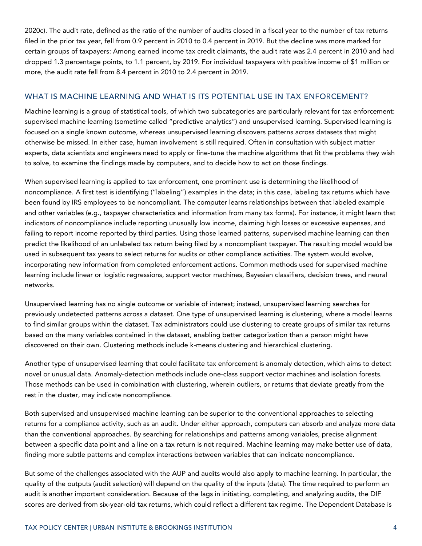2020c). The audit rate, defined as the ratio of the number of audits closed in a fiscal year to the number of tax returns filed in the prior tax year, fell from 0.9 percent in 2010 to 0.4 percent in 2019. But the decline was more marked for certain groups of taxpayers: Among earned income tax credit claimants, the audit rate was 2.4 percent in 2010 and had dropped 1.3 percentage points, to 1.1 percent, by 2019. For individual taxpayers with positive income of \$1 million or more, the audit rate fell from 8.4 percent in 2010 to 2.4 percent in 2019.

## WHAT IS MACHINE LEARNING AND WHAT IS ITS POTENTIAL USE IN TAX ENFORCEMENT?

Machine learning is a group of statistical tools, of which two subcategories are particularly relevant for tax enforcement: supervised machine learning (sometime called "predictive analytics") and unsupervised learning. Supervised learning is focused on a single known outcome, whereas unsupervised learning discovers patterns across datasets that might otherwise be missed. In either case, human involvement is still required. Often in consultation with subject matter experts, data scientists and engineers need to apply or fine-tune the machine algorithms that fit the problems they wish to solve, to examine the findings made by computers, and to decide how to act on those findings.

When supervised learning is applied to tax enforcement, one prominent use is determining the likelihood of noncompliance. A first test is identifying ("labeling") examples in the data; in this case, labeling tax returns which have been found by IRS employees to be noncompliant. The computer learns relationships between that labeled example and other variables (e.g., taxpayer characteristics and information from many tax forms). For instance, it might learn that indicators of noncompliance include reporting unusually low income, claiming high losses or excessive expenses, and failing to report income reported by third parties. Using those learned patterns, supervised machine learning can then predict the likelihood of an unlabeled tax return being filed by a noncompliant taxpayer. The resulting model would be used in subsequent tax years to select returns for audits or other compliance activities. The system would evolve, incorporating new information from completed enforcement actions. Common methods used for supervised machine learning include linear or logistic regressions, support vector machines, Bayesian classifiers, decision trees, and neural networks.

Unsupervised learning has no single outcome or variable of interest; instead, unsupervised learning searches for previously undetected patterns across a dataset. One type of unsupervised learning is clustering, where a model learns to find similar groups within the dataset. Tax administrators could use clustering to create groups of similar tax returns based on the many variables contained in the dataset, enabling better categorization than a person might have discovered on their own. Clustering methods include k-means clustering and hierarchical clustering.

Another type of unsupervised learning that could facilitate tax enforcement is anomaly detection, which aims to detect novel or unusual data. Anomaly-detection methods include one-class support vector machines and isolation forests. Those methods can be used in combination with clustering, wherein outliers, or returns that deviate greatly from the rest in the cluster, may indicate noncompliance.

Both supervised and unsupervised machine learning can be superior to the conventional approaches to selecting returns for a compliance activity, such as an audit. Under either approach, computers can absorb and analyze more data than the conventional approaches. By searching for relationships and patterns among variables, precise alignment between a specific data point and a line on a tax return is not required. Machine learning may make better use of data, finding more subtle patterns and complex interactions between variables that can indicate noncompliance.

But some of the challenges associated with the AUP and audits would also apply to machine learning. In particular, the quality of the outputs (audit selection) will depend on the quality of the inputs (data). The time required to perform an audit is another important consideration. Because of the lags in initiating, completing, and analyzing audits, the DIF scores are derived from six-year-old tax returns, which could reflect a different tax regime. The Dependent Database is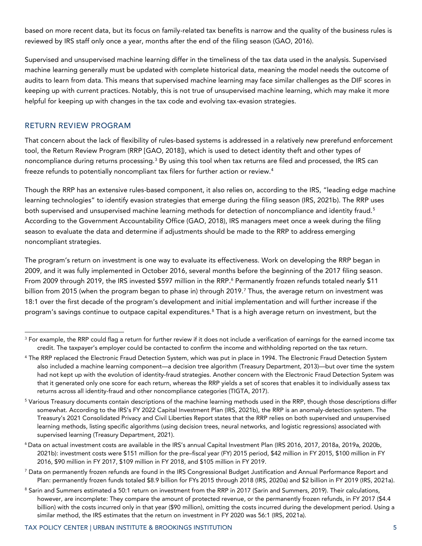based on more recent data, but its focus on family-related tax benefits is narrow and the quality of the business rules is reviewed by IRS staff only once a year, months after the end of the filing season (GAO, 2016).

Supervised and unsupervised machine learning differ in the timeliness of the tax data used in the analysis. Supervised machine learning generally must be updated with complete historical data, meaning the model needs the outcome of audits to learn from data. This means that supervised machine learning may face similar challenges as the DIF scores in keeping up with current practices. Notably, this is not true of unsupervised machine learning, which may make it more helpful for keeping up with changes in the tax code and evolving tax-evasion strategies.

### RETURN REVIEW PROGRAM

That concern about the lack of flexibility of rules-based systems is addressed in a relatively new prerefund enforcement tool, the Return Review Program (RRP [GAO, 2018]), which is used to detect identity theft and other types of noncompliance during returns processing.<sup>3</sup> By using this tool when tax returns are filed and processed, the IRS can freeze refunds to potentially noncompliant tax filers for further action or review.<sup>4</sup>

Though the RRP has an extensive rules-based component, it also relies on, according to the IRS, "leading edge machine learning technologies" to identify evasion strategies that emerge during the filing season (IRS, 2021b). The RRP uses both supervised and unsupervised machine learning methods for detection of noncompliance and identity fraud.<sup>5</sup> According to the Government Accountability Office (GAO, 2018), IRS managers meet once a week during the filing season to evaluate the data and determine if adjustments should be made to the RRP to address emerging noncompliant strategies.

The program's return on investment is one way to evaluate its effectiveness. Work on developing the RRP began in 2009, and it was fully implemented in October 2016, several months before the beginning of the 2017 filing season. From 2009 through 2019, the IRS invested \$597 million in the RRP.<sup>6</sup> Permanently frozen refunds totaled nearly \$11 billion from 2015 (when the program began to phase in) through 2019.<sup>7</sup> Thus, the average return on investment was 18:1 over the first decade of the program's development and initial implementation and will further increase if the program's savings continue to outpace capital expenditures.<sup>8</sup> That is a high average return on investment, but the

 $3$  For example, the RRP could flag a return for further review if it does not include a verification of earnings for the earned income tax credit. The taxpayer's employer could be contacted to confirm the income and withholding reported on the tax return.

<sup>4</sup> The RRP replaced the Electronic Fraud Detection System, which was put in place in 1994. The Electronic Fraud Detection System also included a machine learning component—a decision tree algorithm (Treasury Department, 2013)—but over time the system had not kept up with the evolution of identity-fraud strategies. Another concern with the Electronic Fraud Detection System was that it generated only one score for each return, whereas the RRP yields a set of scores that enables it to individually assess tax returns across all identity-fraud and other noncompliance categories (TIGTA, 2017).

<sup>&</sup>lt;sup>5</sup> Various Treasury documents contain descriptions of the machine learning methods used in the RRP, though those descriptions differ somewhat. According to the IRS's FY 2022 Capital Investment Plan (IRS, 2021b), the RRP is an anomaly-detection system. The Treasury's 2021 Consolidated Privacy and Civil Liberties Report states that the RRP relies on both supervised and unsupervised learning methods, listing specific algorithms (using decision trees, neural networks, and logistic regressions) associated with supervised learning (Treasury Department, 2021).

<sup>6</sup> Data on actual investment costs are available in the IRS's annual Capital Investment Plan (IRS 2016, 2017, 2018a, 2019a, 2020b, 2021b): investment costs were \$151 million for the pre–fiscal year (FY) 2015 period, \$42 million in FY 2015, \$100 million in FY 2016, \$90 million in FY 2017, \$109 million in FY 2018, and \$105 million in FY 2019.

<sup>&</sup>lt;sup>7</sup> Data on permanently frozen refunds are found in the IRS Congressional Budget Justification and Annual Performance Report and Plan: permanently frozen funds totaled \$8.9 billion for FYs 2015 through 2018 (IRS, 2020a) and \$2 billion in FY 2019 (IRS, 2021a).

<sup>8</sup> Sarin and Summers estimated a 50:1 return on investment from the RRP in 2017 (Sarin and Summers, 2019). Their calculations, however, are incomplete: They compare the amount of protected revenue, or the permanently frozen refunds, in FY 2017 (\$4.4 billion) with the costs incurred only in that year (\$90 million), omitting the costs incurred during the development period. Using a similar method, the IRS estimates that the return on investment in FY 2020 was 56:1 (IRS, 2021a).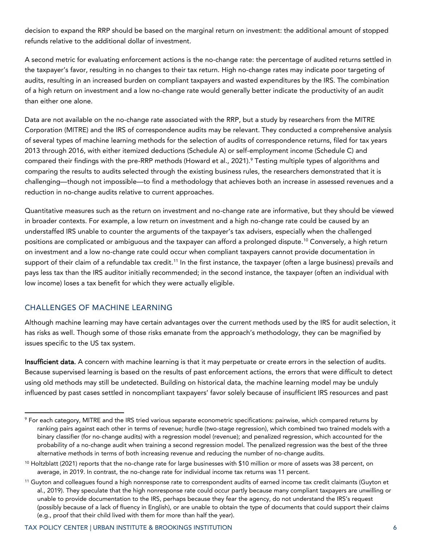decision to expand the RRP should be based on the marginal return on investment: the additional amount of stopped refunds relative to the additional dollar of investment.

A second metric for evaluating enforcement actions is the no-change rate: the percentage of audited returns settled in the taxpayer's favor, resulting in no changes to their tax return. High no-change rates may indicate poor targeting of audits, resulting in an increased burden on compliant taxpayers and wasted expenditures by the IRS. The combination of a high return on investment and a low no-change rate would generally better indicate the productivity of an audit than either one alone.

Data are not available on the no-change rate associated with the RRP, but a study by researchers from the MITRE Corporation (MITRE) and the IRS of correspondence audits may be relevant. They conducted a comprehensive analysis of several types of machine learning methods for the selection of audits of correspondence returns, filed for tax years 2013 through 2016, with either itemized deductions (Schedule A) or self-employment income (Schedule C) and compared their findings with the pre-RRP methods (Howard et al., 2021).<sup>9</sup> Testing multiple types of algorithms and comparing the results to audits selected through the existing business rules, the researchers demonstrated that it is challenging—though not impossible—to find a methodology that achieves both an increase in assessed revenues and a reduction in no-change audits relative to current approaches.

Quantitative measures such as the return on investment and no-change rate are informative, but they should be viewed in broader contexts. For example, a low return on investment and a high no-change rate could be caused by an understaffed IRS unable to counter the arguments of the taxpayer's tax advisers, especially when the challenged positions are complicated or ambiguous and the taxpayer can afford a prolonged dispute.<sup>10</sup> Conversely, a high return on investment and a low no-change rate could occur when compliant taxpayers cannot provide documentation in support of their claim of a refundable tax credit.<sup>11</sup> In the first instance, the taxpayer (often a large business) prevails and pays less tax than the IRS auditor initially recommended; in the second instance, the taxpayer (often an individual with low income) loses a tax benefit for which they were actually eligible.

## CHALLENGES OF MACHINE LEARNING

Although machine learning may have certain advantages over the current methods used by the IRS for audit selection, it has risks as well. Though some of those risks emanate from the approach's methodology, they can be magnified by issues specific to the US tax system.

Insufficient data. A concern with machine learning is that it may perpetuate or create errors in the selection of audits. Because supervised learning is based on the results of past enforcement actions, the errors that were difficult to detect using old methods may still be undetected. Building on historical data, the machine learning model may be unduly influenced by past cases settled in noncompliant taxpayers' favor solely because of insufficient IRS resources and past

<sup>&</sup>lt;sup>9</sup> For each category, MITRE and the IRS tried various separate econometric specifications: pairwise, which compared returns by ranking pairs against each other in terms of revenue; hurdle (two-stage regression), which combined two trained models with a binary classifier (for no-change audits) with a regression model (revenue); and penalized regression, which accounted for the probability of a no-change audit when training a second regression model. The penalized regression was the best of the three alternative methods in terms of both increasing revenue and reducing the number of no-change audits.

 $10$  Holtzblatt (2021) reports that the no-change rate for large businesses with \$10 million or more of assets was 38 percent, on average, in 2019. In contrast, the no-change rate for individual income tax returns was 11 percent.

<sup>&</sup>lt;sup>11</sup> Guyton and colleagues found a high nonresponse rate to correspondent audits of earned income tax credit claimants (Guyton et al., 2019). They speculate that the high nonresponse rate could occur partly because many compliant taxpayers are unwilling or unable to provide documentation to the IRS, perhaps because they fear the agency, do not understand the IRS's request (possibly because of a lack of fluency in English), or are unable to obtain the type of documents that could support their claims (e.g., proof that their child lived with them for more than half the year).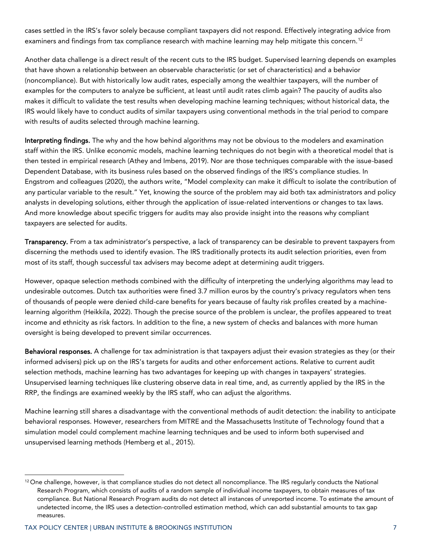cases settled in the IRS's favor solely because compliant taxpayers did not respond. Effectively integrating advice from examiners and findings from tax compliance research with machine learning may help mitigate this concern.<sup>12</sup>

Another data challenge is a direct result of the recent cuts to the IRS budget. Supervised learning depends on examples that have shown a relationship between an observable characteristic (or set of characteristics) and a behavior (noncompliance). But with historically low audit rates, especially among the wealthier taxpayers, will the number of examples for the computers to analyze be sufficient, at least until audit rates climb again? The paucity of audits also makes it difficult to validate the test results when developing machine learning techniques; without historical data, the IRS would likely have to conduct audits of similar taxpayers using conventional methods in the trial period to compare with results of audits selected through machine learning.

Interpreting findings. The why and the how behind algorithms may not be obvious to the modelers and examination staff within the IRS. Unlike economic models, machine learning techniques do not begin with a theoretical model that is then tested in empirical research (Athey and Imbens, 2019). Nor are those techniques comparable with the issue-based Dependent Database, with its business rules based on the observed findings of the IRS's compliance studies. In Engstrom and colleagues (2020), the authors write, "Model complexity can make it difficult to isolate the contribution of any particular variable to the result." Yet, knowing the source of the problem may aid both tax administrators and policy analysts in developing solutions, either through the application of issue-related interventions or changes to tax laws. And more knowledge about specific triggers for audits may also provide insight into the reasons why compliant taxpayers are selected for audits.

Transparency. From a tax administrator's perspective, a lack of transparency can be desirable to prevent taxpayers from discerning the methods used to identify evasion. The IRS traditionally protects its audit selection priorities, even from most of its staff, though successful tax advisers may become adept at determining audit triggers.

However, opaque selection methods combined with the difficulty of interpreting the underlying algorithms may lead to undesirable outcomes. Dutch tax authorities were fined 3.7 million euros by the country's privacy regulators when tens of thousands of people were denied child-care benefits for years because of faulty risk profiles created by a machinelearning algorithm (Heikkila, 2022). Though the precise source of the problem is unclear, the profiles appeared to treat income and ethnicity as risk factors. In addition to the fine, a new system of checks and balances with more human oversight is being developed to prevent similar occurrences.

Behavioral responses. A challenge for tax administration is that taxpayers adjust their evasion strategies as they (or their informed advisers) pick up on the IRS's targets for audits and other enforcement actions. Relative to current audit selection methods, machine learning has two advantages for keeping up with changes in taxpayers' strategies. Unsupervised learning techniques like clustering observe data in real time, and, as currently applied by the IRS in the RRP, the findings are examined weekly by the IRS staff, who can adjust the algorithms.

Machine learning still shares a disadvantage with the conventional methods of audit detection: the inability to anticipate behavioral responses. However, researchers from MITRE and the Massachusetts Institute of Technology found that a simulation model could complement machine learning techniques and be used to inform both supervised and unsupervised learning methods (Hemberg et al., 2015).

 $12$  One challenge, however, is that compliance studies do not detect all noncompliance. The IRS regularly conducts the National Research Program, which consists of audits of a random sample of individual income taxpayers, to obtain measures of tax compliance. But National Research Program audits do not detect all instances of unreported income. To estimate the amount of undetected income, the IRS uses a detection-controlled estimation method, which can add substantial amounts to tax gap measures.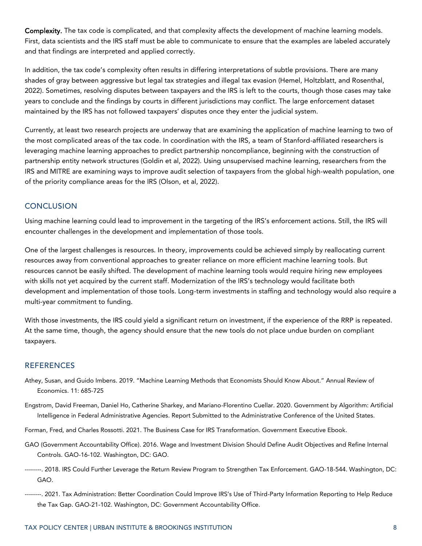Complexity. The tax code is complicated, and that complexity affects the development of machine learning models. First, data scientists and the IRS staff must be able to communicate to ensure that the examples are labeled accurately and that findings are interpreted and applied correctly.

In addition, the tax code's complexity often results in differing interpretations of subtle provisions. There are many shades of gray between aggressive but legal tax strategies and illegal tax evasion (Hemel, Holtzblatt, and Rosenthal, 2022). Sometimes, resolving disputes between taxpayers and the IRS is left to the courts, though those cases may take years to conclude and the findings by courts in different jurisdictions may conflict. The large enforcement dataset maintained by the IRS has not followed taxpayers' disputes once they enter the judicial system.

Currently, at least two research projects are underway that are examining the application of machine learning to two of the most complicated areas of the tax code. In coordination with the IRS, a team of Stanford-affiliated researchers is leveraging machine learning approaches to predict partnership noncompliance, beginning with the construction of partnership entity network structures (Goldin et al, 2022). Using unsupervised machine learning, researchers from the IRS and MITRE are examining ways to improve audit selection of taxpayers from the global high-wealth population, one of the priority compliance areas for the IRS (Olson, et al, 2022).

#### **CONCLUSION**

Using machine learning could lead to improvement in the targeting of the IRS's enforcement actions. Still, the IRS will encounter challenges in the development and implementation of those tools.

One of the largest challenges is resources. In theory, improvements could be achieved simply by reallocating current resources away from conventional approaches to greater reliance on more efficient machine learning tools. But resources cannot be easily shifted. The development of machine learning tools would require hiring new employees with skills not yet acquired by the current staff. Modernization of the IRS's technology would facilitate both development and implementation of those tools. Long-term investments in staffing and technology would also require a multi-year commitment to funding.

With those investments, the IRS could yield a significant return on investment, if the experience of the RRP is repeated. At the same time, though, the agency should ensure that the new tools do not place undue burden on compliant taxpayers.

#### **REFERENCES**

- Athey, Susan, and Guido Imbens. 2019. "Machine Learning Methods that Economists Should Know About." Annual Review of Economics. 11: 685-725
- Engstrom, David Freeman, Daniel Ho, Catherine Sharkey, and Mariano-Florentino Cuellar. 2020. Government by Algorithm: Artificial Intelligence in Federal Administrative Agencies. Report Submitted to the Administrative Conference of the United States.
- Forman, Fred, and Charles Rossotti. 2021. The Business Case for IRS Transformation. Government Executive Ebook.
- GAO (Government Accountability Office). 2016. Wage and Investment Division Should Define Audit Objectives and Refine Internal Controls. GAO-16-102. Washington, DC: GAO.
- --------. 2018. IRS Could Further Leverage the Return Review Program to Strengthen Tax Enforcement. GAO-18-544. Washington, DC: GAO.
- --------. 2021. Tax Administration: Better Coordination Could Improve IRS's Use of Third-Party Information Reporting to Help Reduce the Tax Gap. GAO-21-102. Washington, DC: Government Accountability Office.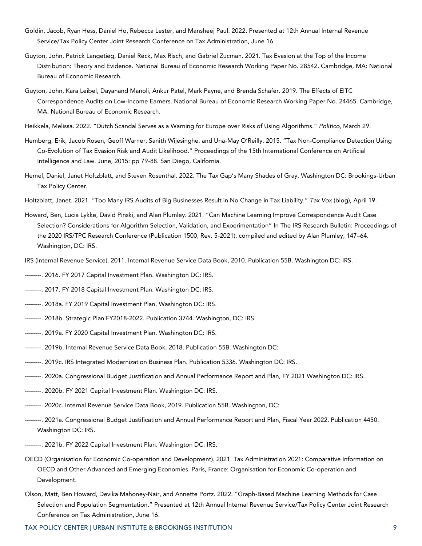- Goldin, Jacob, Ryan Hess, Daniel Ho, Rebecca Lester, and Mansheej Paul. 2022. Presented at 12th Annual Internal Revenue Service/Tax Policy Center Joint Research Conference on Tax Administration, June 16.
- Guyton, John, Patrick Langetieg, Daniel Reck, Max Risch, and Gabriel Zucman. 2021. Tax Evasion at the Top of the Income Distribution: Theory and Evidence. National Bureau of Economic Research Working Paper No. 28542. Cambridge, MA: National Bureau of Economic Research.
- Guyton, John, Kara Leibel, Dayanand Manoli, Ankur Patel, Mark Payne, and Brenda Schafer. 2019. The Effects of EITC Correspondence Audits on Low-Income Earners. National Bureau of Economic Research Working Paper No. 24465. Cambridge, MA: National Bureau of Economic Research.
- Heikkela, Melissa. 2022. "Dutch Scandal Serves as a Warning for Europe over Risks of Using Algorithms." *Politico,* March 29.
- Hemberg, Erik, Jacob Rosen, Geoff Warner, Sanith Wijesinghe, and Una-May O'Reilly. 2015. "Tax Non-Compliance Detection Using Co-Evolution of Tax Evasion Risk and Audit Likelihood." Proceedings of the 15th International Conference on Artificial Intelligence and Law. June, 2015: pp 79-88. San Diego, California.
- Hemel, Daniel, Janet Holtzblatt, and Steven Rosenthal. 2022. The Tax Gap's Many Shades of Gray. Washington DC: Brookings-Urban Tax Policy Center.
- Holtzblatt, Janet. 2021. "Too Many IRS Audits of Big Businesses Result in No Change in Tax Liability." *Tax Vox* (blog), April 19.
- Howard, Ben, Lucia Lykke, David Pinski, and Alan Plumley. 2021. "Can Machine Learning Improve Correspondence Audit Case Selection? Considerations for Algorithm Selection, Validation, and Experimentation" In The IRS Research Bulletin: Proceedings of the 2020 IRS/TPC Research Conference (Publication 1500, Rev. 5-2021), compiled and edited by Alan Plumley, 147–64. Washington, DC: IRS.
- IRS (Internal Revenue Service). 2011. Internal Revenue Service Data Book, 2010. Publication 55B. Washington DC: IRS.
- --------. 2016. FY 2017 Capital Investment Plan. Washington DC: IRS.
- --------. 2017. FY 2018 Capital Investment Plan. Washington DC: IRS.
- --------. 2018a. FY 2019 Capital Investment Plan. Washington DC: IRS.
- --------. 2018b. Strategic Plan FY2018-2022. Publication 3744. Washington, DC: IRS.
- --------. 2019a. FY 2020 Capital Investment Plan. Washington DC: IRS.
- --------. 2019b. Internal Revenue Service Data Book, 2018. Publication 55B. Washington DC:
- --------. 2019c. IRS Integrated Modernization Business Plan. Publication 5336. Washington DC: IRS.
- --------. 2020a. Congressional Budget Justification and Annual Performance Report and Plan, FY 2021 Washington DC: IRS.
- --------. 2020b. FY 2021 Capital Investment Plan. Washington DC: IRS.
- --------. 2020c. Internal Revenue Service Data Book, 2019. Publication 55B. Washington, DC:
- --------. 2021a. Congressional Budget Justification and Annual Performance Report and Plan, Fiscal Year 2022. Publication 4450. Washington DC: IRS.
- --------. 2021b. FY 2022 Capital Investment Plan. Washington DC: IRS.
- OECD (Organisation for Economic Co-operation and Development). 2021. Tax Administration 2021: Comparative Information on OECD and Other Advanced and Emerging Economies. Paris, France: Organisation for Economic Co-operation and Development.
- Olson, Matt, Ben Howard, Devika Mahoney-Nair, and Annette Portz. 2022. "Graph-Based Machine Learning Methods for Case Selection and Population Segmentation." Presented at 12th Annual Internal Revenue Service/Tax Policy Center Joint Research Conference on Tax Administration, June 16.

TAX POLICY CENTER | URBAN INSTITUTE & BROOKINGS INSTITUTION 9